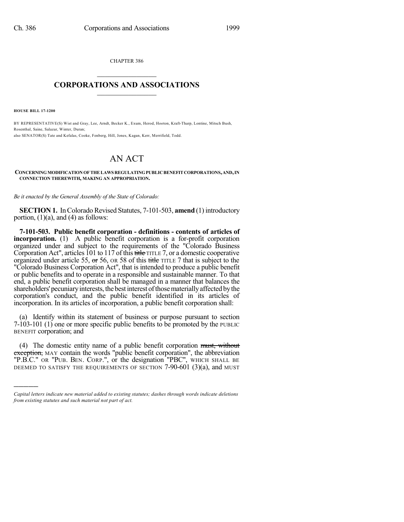CHAPTER 386  $\mathcal{L}_\text{max}$  . The set of the set of the set of the set of the set of the set of the set of the set of the set of the set of the set of the set of the set of the set of the set of the set of the set of the set of the set

## **CORPORATIONS AND ASSOCIATIONS**  $\_$   $\_$   $\_$   $\_$   $\_$   $\_$   $\_$   $\_$   $\_$

**HOUSE BILL 17-1200**

)))))

BY REPRESENTATIVE(S) Wist and Gray, Lee, Arndt, Becker K., Exum, Herod, Hooton, Kraft-Tharp, Lontine, Mitsch Bush, Rosenthal, Saine, Salazar, Winter, Duran; also SENATOR(S) Tate and Kefalas, Cooke, Fenberg, Hill, Jones, Kagan, Kerr, Merrifield, Todd.

## AN ACT

## **CONCERNINGMODIFICATIONOFTHELAWS REGULATINGPUBLICBENEFITCORPORATIONS,AND,IN CONNECTION THEREWITH, MAKING AN APPROPRIATION.**

*Be it enacted by the General Assembly of the State of Colorado:*

**SECTION 1.** In Colorado Revised Statutes, 7-101-503, **amend** (1) introductory portion,  $(1)(a)$ , and  $(4)$  as follows:

**7-101-503. Public benefit corporation - definitions - contents of articles of incorporation.** (1) A public benefit corporation is a for-profit corporation organized under and subject to the requirements of the "Colorado Business Corporation Act", articles 101 to 117 of this title TITLE 7, or a domestic cooperative organized under article 55, or 56, OR 58 of this title TITLE 7 that is subject to the "Colorado Business Corporation Act", that is intended to produce a public benefit or public benefits and to operate in a responsible and sustainable manner. To that end, a public benefit corporation shall be managed in a manner that balances the shareholders' pecuniary interests, the best interest of those materially affected by the corporation's conduct, and the public benefit identified in its articles of incorporation. In its articles of incorporation, a public benefit corporation shall:

(a) Identify within its statement of business or purpose pursuant to section 7-103-101 (1) one or more specific public benefits to be promoted by the PUBLIC BENEFIT corporation; and

(4) The domestic entity name of a public benefit corporation must, without exception, MAY contain the words "public benefit corporation", the abbreviation "P.B.C." OR "PUB. BEN. CORP.", or the designation "PBC", WHICH SHALL BE DEEMED TO SATISFY THE REQUIREMENTS OF SECTION 7-90-601 (3)(a), and MUST

*Capital letters indicate new material added to existing statutes; dashes through words indicate deletions from existing statutes and such material not part of act.*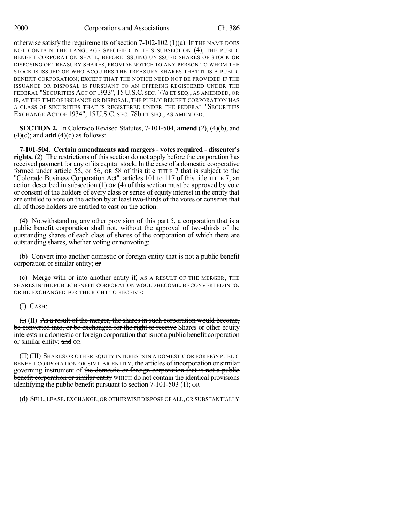otherwise satisfy the requirements of section 7-102-102 (1)(a). IF THE NAME DOES NOT CONTAIN THE LANGUAGE SPECIFIED IN THIS SUBSECTION (4), THE PUBLIC BENEFIT CORPORATION SHALL, BEFORE ISSUING UNISSUED SHARES OF STOCK OR DISPOSING OF TREASURY SHARES, PROVIDE NOTICE TO ANY PERSON TO WHOM THE STOCK IS ISSUED OR WHO ACQUIRES THE TREASURY SHARES THAT IT IS A PUBLIC BENEFIT CORPORATION; EXCEPT THAT THE NOTICE NEED NOT BE PROVIDED IF THE ISSUANCE OR DISPOSAL IS PURSUANT TO AN OFFERING REGISTERED UNDER THE FEDERAL "SECURITIES ACT OF 1933", 15 U.S.C. SEC. 77a ET SEQ., AS AMENDED, OR IF, AT THE TIME OF ISSUANCE OR DISPOSAL, THE PUBLIC BENEFIT CORPORATION HAS A CLASS OF SECURITIES THAT IS REGISTERED UNDER THE FEDERAL "SECURITIES EXCHANGE ACT OF 1934", 15 U.S.C. SEC. 78b ET SEQ., AS AMENDED.

**SECTION 2.** In Colorado Revised Statutes, 7-101-504, **amend** (2), (4)(b), and  $(4)(c)$ ; and **add**  $(4)(d)$  as follows:

**7-101-504. Certain amendments and mergers - votes required - dissenter's rights.** (2) The restrictions of this section do not apply before the corporation has received payment for any of its capital stock. In the case of a domestic cooperative formed under article 55, or 56, OR 58 of this title TITLE 7 that is subject to the "Colorado Business Corporation Act", articles 101 to 117 of this title TITLE 7, an action described in subsection (1) OR (4) of this section must be approved by vote or consent of the holders of every class or series of equity interest in the entity that are entitled to vote on the action by at least two-thirds of the votes or consents that all of those holders are entitled to cast on the action.

(4) Notwithstanding any other provision of this part 5, a corporation that is a public benefit corporation shall not, without the approval of two-thirds of the outstanding shares of each class of shares of the corporation of which there are outstanding shares, whether voting or nonvoting:

(b) Convert into another domestic or foreign entity that is not a public benefit corporation or similar entity; or

(c) Merge with or into another entity if, AS A RESULT OF THE MERGER, THE SHARES IN THE PUBLIC BENEFIT CORPORATION WOULD BECOME,BE CONVERTED INTO, OR BE EXCHANGED FOR THE RIGHT TO RECEIVE:

## (I) CASH;

(I) (II) As a result of the merger, the shares in such corporation would become, be converted into, or be exchanged for the right to receive Shares or other equity interests in a domestic or foreign corporation that is not a public benefit corporation or similar entity; and OR

**(II)** (III) SHARES OR OTHER EQUITY INTERESTS IN A DOMESTIC OR FOREIGN PUBLIC BENEFIT CORPORATION OR SIMILAR ENTITY, the articles of incorporation or similar governing instrument of the domestic or foreign corporation that is not a public benefit corporation or similar entity WHICH do not contain the identical provisions identifying the public benefit pursuant to section 7-101-503 (1); OR

(d) SELL, LEASE, EXCHANGE, OR OTHERWISE DISPOSE OF ALL, OR SUBSTANTIALLY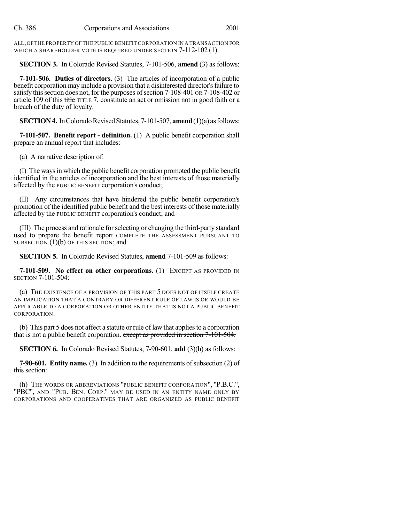ALL,OFTHE PROPERTY OF THE PUBLIC BENEFIT CORPORATION IN A TRANSACTION FOR WHICH A SHAREHOLDER VOTE IS REQUIRED UNDER SECTION 7-112-102 (1).

**SECTION 3.** In Colorado Revised Statutes, 7-101-506, **amend** (3) as follows:

**7-101-506. Duties of directors.** (3) The articles of incorporation of a public benefit corporation may include a provision that a disinterested director's failure to satisfy this section does not, for the purposes of section 7-108-401 OR 7-108-402 or article 109 of this title TITLE 7, constitute an act or omission not in good faith or a breach of the duty of loyalty.

**SECTION 4.** In Colorado Revised Statutes, 7-101-507, **amend** (1)(a) as follows:

**7-101-507. Benefit report - definition.** (1) A public benefit corporation shall prepare an annual report that includes:

(a) A narrative description of:

(I) The waysin which the public benefit corporation promoted the public benefit identified in the articles of incorporation and the best interests of those materially affected by the PUBLIC BENEFIT corporation's conduct;

(II) Any circumstances that have hindered the public benefit corporation's promotion of the identified public benefit and the best interests of those materially affected by the PUBLIC BENEFIT corporation's conduct; and

(III) The process and rationale forselecting or changing the third-party standard used to prepare the benefit report COMPLETE THE ASSESSMENT PURSUANT TO SUBSECTION  $(1)(b)$  OF THIS SECTION; and

**SECTION 5.** In Colorado Revised Statutes, **amend** 7-101-509 as follows:

**7-101-509. No effect on other corporations.** (1) EXCEPT AS PROVIDED IN SECTION 7-101-504:

(a) THE EXISTENCE OF A PROVISION OF THIS PART 5 DOES NOT OF ITSELF CREATE AN IMPLICATION THAT A CONTRARY OR DIFFERENT RULE OF LAW IS OR WOULD BE APPLICABLE TO A CORPORATION OR OTHER ENTITY THAT IS NOT A PUBLIC BENEFIT CORPORATION.

(b) This part 5 does not affect a statute or rule of law that applies to a corporation that is not a public benefit corporation. except as provided in section  $7-101-504$ .

**SECTION 6.** In Colorado Revised Statutes, 7-90-601, **add** (3)(h) as follows:

**7-90-601. Entity name.** (3) In addition to the requirements of subsection (2) of this section:

(h) THE WORDS OR ABBREVIATIONS "PUBLIC BENEFIT CORPORATION", "P.B.C.", "PBC", AND "PUB. BEN. CORP." MAY BE USED IN AN ENTITY NAME ONLY BY CORPORATIONS AND COOPERATIVES THAT ARE ORGANIZED AS PUBLIC BENEFIT